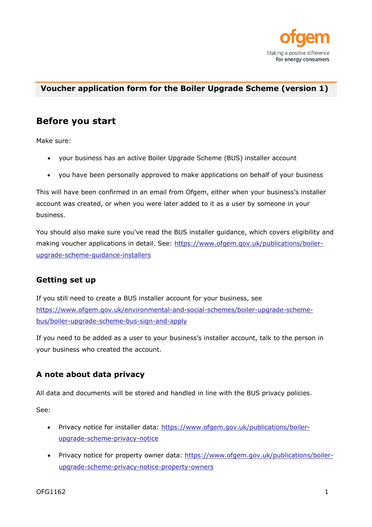

#### **Voucher application form for the Boiler Upgrade Scheme (version 1)**

### **Before you start**

Make sure:

- your business has an active Boiler Upgrade Scheme (BUS) installer account
- you have been personally approved to make applications on behalf of your business

This will have been confirmed in an email from Ofgem, either when your business's installer account was created, or when you were later added to it as a user by someone in your business.

You should also make sure you've read the BUS installer guidance, which covers eligibility and making voucher applications in detail. See: https://www.ofgem.gov.uk/publications/boilerupgrade-scheme-guidance-installers

#### **Getting set up**

If you still need to create a BUS installer account for your business, see https://www.ofgem.gov.uk/environmental-and-social-schemes/boiler-upgrade-schemebus/boiler-upgrade-scheme-bus-sign-and-apply

If you need to be added as a user to your business's installer account, talk to the person in your business who created the account.

### **A note about data privacy**

All data and documents will be stored and handled in line with the BUS privacy policies.

See:

- Privacy notice for installer data: https://www.ofgem.gov.uk/publications/boilerupgrade-scheme-privacy-notice
- Privacy notice for property owner data: https://www.ofgem.gov.uk/publications/boilerupgrade-scheme-privacy-notice-property-owners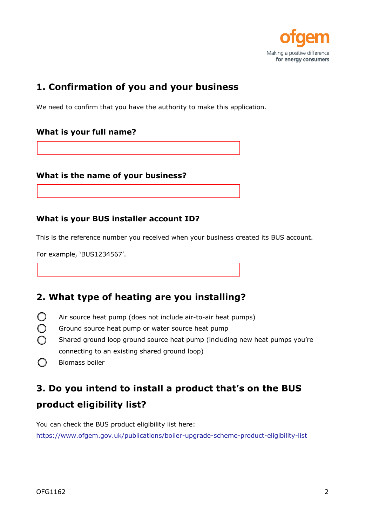

## **1. Confirmation of you and your business**

We need to confirm that you have the authority to make this application.

#### **What is your full name?**

#### **What is the name of your business?**

#### **What is your BUS installer account ID?**

This is the reference number you received when your business created its BUS account.

For example, 'BUS1234567'.

### **2. What type of heating are you installing?**

- Air source heat pump (does not include air-to-air heat pumps)
- Ground source heat pump or water source heat pump
- Shared ground loop ground source heat pump (including new heat pumps you're connecting to an existing shared ground loop)
- $\bigcap$ Biomass boiler

# **3. Do you intend to install a product that's on the BUS product eligibility list?**

You can check the BUS product eligibility list here:

https://www.ofgem.gov.uk/publications/boiler-upgrade-scheme-product-eligibility-list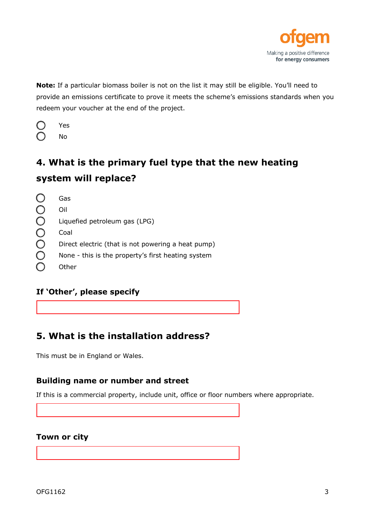

**Note:** If a particular biomass boiler is not on the list it may still be eligible. You'll need to provide an emissions certificate to prove it meets the scheme's emissions standards when you redeem your voucher at the end of the project.

| Yes |
|-----|
| No  |

# **4. What is the primary fuel type that the new heating system will replace?**

| Gas                                                |
|----------------------------------------------------|
| Oil                                                |
| Liquefied petroleum gas (LPG)                      |
| Coal                                               |
| Direct electric (that is not powering a heat pump) |
| None - this is the property's first heating system |
| Other                                              |
|                                                    |

### **If 'Other', please specify**

## **5. What is the installation address?**

This must be in England or Wales.

#### **Building name or number and street**

If this is a commercial property, include unit, office or floor numbers where appropriate.

#### **Town or city**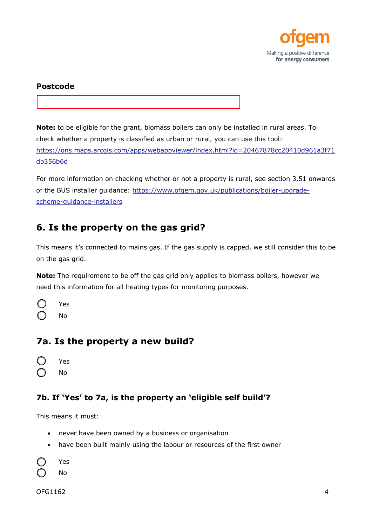

#### **Postcode**

**Note:** to be eligible for the grant, biomass boilers can only be installed in rural areas. To check whether a property is classified as urban or rural, you can use this tool: [https://ons.maps.arcgis.com/apps/webappviewer/index.html?id=20467878cc20410d961a3f71](https://ons.maps.arcgis.com/apps/webappviewer/index.html?id=20467878cc20410d961a3f71db356b6d) db356b6d

For more information on checking whether or not a property is rural, see section 3.51 onwards of the BUS installer guidance: https://www.ofgem.gov.uk/publications/boiler-upgradescheme-guidance-installers

## **6. Is the property on the gas grid?**

This means it's connected to mains gas. If the gas supply is capped, we still consider this to be on the gas grid.

**Note:** The requirement to be off the gas grid only applies to biomass boilers, however we need this information for all heating types for monitoring purposes.

| Yes |
|-----|
| No  |

### **7a. Is the property a new build?**

- Yes
- No

### **7b. If 'Yes' to 7a, is the property an 'eligible self build'?**

This means it must:

- never have been owned by a business or organisation
- have been built mainly using the labour or resources of the first owner

Yes

No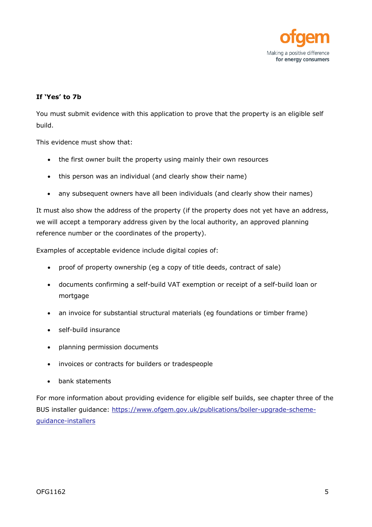

#### **If 'Yes' to 7b**

You must submit evidence with this application to prove that the property is an eligible self build.

This evidence must show that:

- the first owner built the property using mainly their own resources
- this person was an individual (and clearly show their name)
- any subsequent owners have all been individuals (and clearly show their names)

It must also show the address of the property (if the property does not yet have an address, we will accept a temporary address given by the local authority, an approved planning reference number or the coordinates of the property).

Examples of acceptable evidence include digital copies of:

- proof of property ownership (eg a copy of title deeds, contract of sale)
- documents confirming a self-build VAT exemption or receipt of a self-build loan or mortgage
- an invoice for substantial structural materials (eg foundations or timber frame)
- self-build insurance
- planning permission documents
- invoices or contracts for builders or tradespeople
- bank statements

For more information about providing evidence for eligible self builds, see chapter three of the BUS installer guidance: https://www.ofgem.gov.uk/publications/boiler-upgrade-schemeguidance-installers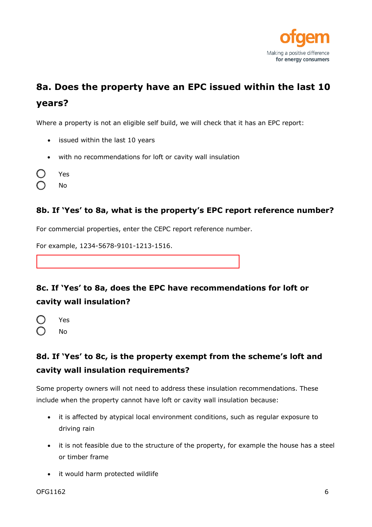

# **8a. Does the property have an EPC issued within the last 10 years?**

Where a property is not an eligible self build, we will check that it has an EPC report:

- issued within the last 10 years
- with no recommendations for loft or cavity wall insulation
- Yes
- No

#### **8b. If 'Yes' to 8a, what is the property's EPC report reference number?**

For commercial properties, enter the CEPC report reference number.

For example, 1234-5678-9101-1213-1516.

## **8c. If 'Yes' to 8a, does the EPC have recommendations for loft or cavity wall insulation?**

Yes No

## **8d. If 'Yes' to 8c, is the property exempt from the scheme's loft and cavity wall insulation requirements?**

Some property owners will not need to address these insulation recommendations. These include when the property cannot have loft or cavity wall insulation because:

- it is affected by atypical local environment conditions, such as regular exposure to driving rain
- it is not feasible due to the structure of the property, for example the house has a steel or timber frame
- it would harm protected wildlife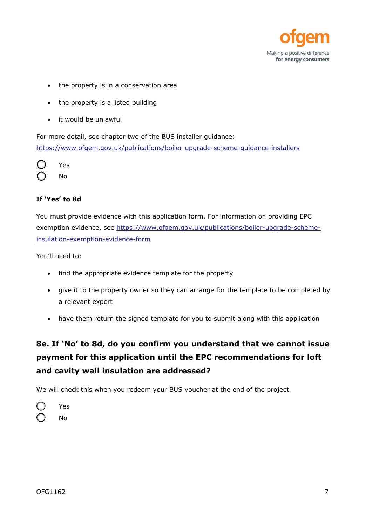

- the property is in a conservation area
- the property is a listed building
- it would be unlawful

For more detail, see chapter two of the BUS installer guidance: https://www.ofgem.gov.uk/publications/boiler-upgrade-scheme-guidance-installers



#### **If 'Yes' to 8d**

You must provide evidence with this application form. For information on providing EPC exemption evidence, see https://www.ofgem.gov.uk/publications/boiler-upgrade-schemeinsulation-exemption-evidence-form

You'll need to:

- find the appropriate evidence template for the property
- give it to the property owner so they can arrange for the template to be completed by a relevant expert
- have them return the signed template for you to submit along with this application

## **8e. If 'No' to 8d, do you confirm you understand that we cannot issue payment for this application until the EPC recommendations for loft and cavity wall insulation are addressed?**

We will check this when you redeem your BUS voucher at the end of the project.

| Yes |
|-----|
| No  |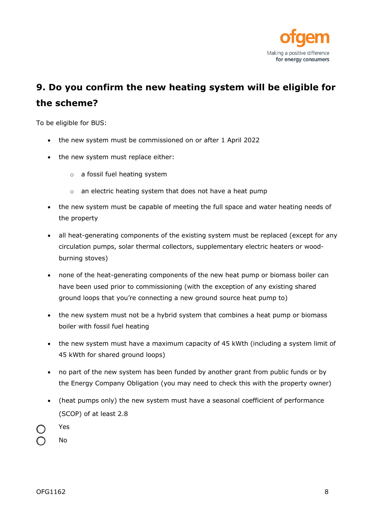

# **9. Do you confirm the new heating system will be eligible for the scheme?**

To be eligible for BUS:

- the new system must be commissioned on or after 1 April 2022
- the new system must replace either:
	- o a fossil fuel heating system
	- o an electric heating system that does not have a heat pump
- the new system must be capable of meeting the full space and water heating needs of the property
- all heat-generating components of the existing system must be replaced (except for any circulation pumps, solar thermal collectors, supplementary electric heaters or woodburning stoves)
- none of the heat-generating components of the new heat pump or biomass boiler can have been used prior to commissioning (with the exception of any existing shared ground loops that you're connecting a new ground source heat pump to)
- the new system must not be a hybrid system that combines a heat pump or biomass boiler with fossil fuel heating
- the new system must have a maximum capacity of 45 kWth (including a system limit of 45 kWth for shared ground loops)
- no part of the new system has been funded by another grant from public funds or by the Energy Company Obligation (you may need to check this with the property owner)
- (heat pumps only) the new system must have a seasonal coefficient of performance (SCOP) of at least 2.8
- Yes
- No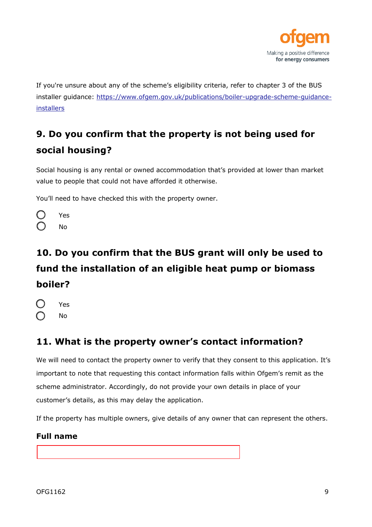

If you're unsure about any of the scheme's eligibility criteria, refer to chapter 3 of the BUS installer guidance: https://www.ofgem.gov.uk/publications/boiler-upgrade-scheme-guidanceinstallers

# **9. Do you confirm that the property is not being used for social housing?**

Social housing is any rental or owned accommodation that's provided at lower than market value to people that could not have afforded it otherwise.

You'll need to have checked this with the property owner.

| Yes |
|-----|
| No  |

# **10. Do you confirm that the BUS grant will only be used to fund the installation of an eligible heat pump or biomass boiler?**

| Yes |
|-----|
| No  |

## **11. What is the property owner's contact information?**

We will need to contact the property owner to verify that they consent to this application. It's important to note that requesting this contact information falls within Ofgem's remit as the scheme administrator. Accordingly, do not provide your own details in place of your customer's details, as this may delay the application.

If the property has multiple owners, give details of any owner that can represent the others.

#### **Full name**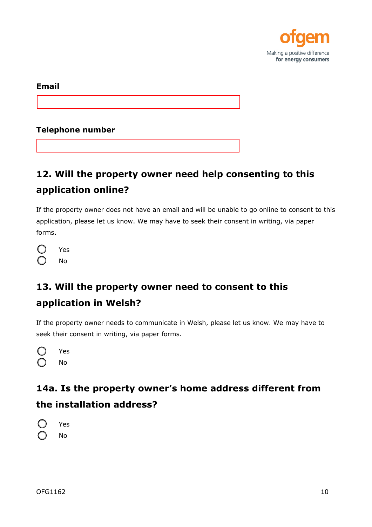

**Email** 

**Telephone number**

# **12. Will the property owner need help consenting to this application online?**

If the property owner does not have an email and will be unable to go online to consent to this application, please let us know. We may have to seek their consent in writing, via paper forms.

| Yes |
|-----|
| No  |

# **13. Will the property owner need to consent to this application in Welsh?**

If the property owner needs to communicate in Welsh, please let us know. We may have to seek their consent in writing, via paper forms.

| Yes |
|-----|
| No  |

## **14a. Is the property owner's home address different from the installation address?**

Yes No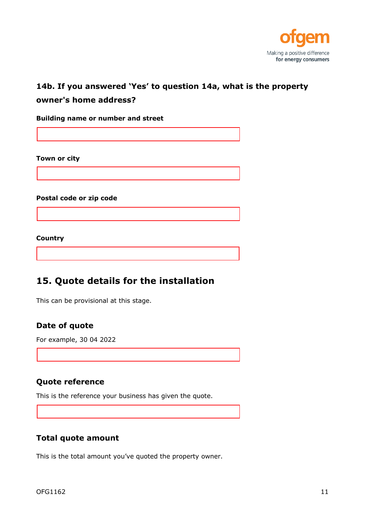

## **14b. If you answered 'Yes' to question 14a, what is the property**

#### **owner's home address?**

**Building name or number and street**

**Town or city**

**Postal code or zip code**

**Country**

### **15. Quote details for the installation**

This can be provisional at this stage.

#### **Date of quote**

For example, 30 04 2022

#### **Quote reference**

This is the reference your business has given the quote.

#### **Total quote amount**

This is the total amount you've quoted the property owner.